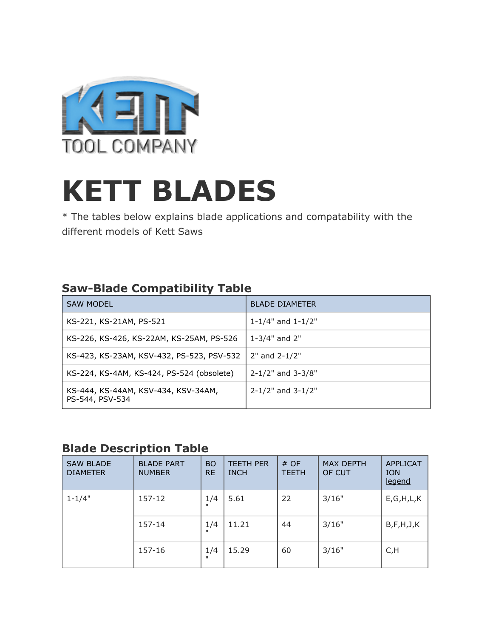

## **KETT BLADES**

\* The tables below explains blade applications and compatability with the different models of Kett Saws

## **Saw-Blade Compatibility Table**

| <b>SAW MODEL</b>                                       | <b>BLADE DIAMETER</b>       |
|--------------------------------------------------------|-----------------------------|
| KS-221, KS-21AM, PS-521                                | 1-1/4" and 1-1/2"           |
| KS-226, KS-426, KS-22AM, KS-25AM, PS-526               | 1-3/4" and $2"$             |
| KS-423, KS-23AM, KSV-432, PS-523, PSV-532              | $2"$ and $2-1/2"$           |
| KS-224, KS-4AM, KS-424, PS-524 (obsolete)              | $2 - 1/2$ " and $3 - 3/8$ " |
| KS-444, KS-44AM, KSV-434, KSV-34AM,<br>PS-544, PSV-534 | $2 - 1/2$ " and $3 - 1/2$ " |

## **Blade Description Table**

| <b>SAW BLADE</b><br><b>DIAMETER</b> | <b>BLADE PART</b><br><b>NUMBER</b> | <b>BO</b><br><b>RE</b> | <b>TEETH PER</b><br><b>INCH</b> | # OF<br><b>TEETH</b> | <b>MAX DEPTH</b><br>OF CUT | <b>APPLICAT</b><br><b>ION</b><br>legend |
|-------------------------------------|------------------------------------|------------------------|---------------------------------|----------------------|----------------------------|-----------------------------------------|
| $1 - 1/4"$                          | 157-12                             | 1/4<br>$\mathbf{H}$    | 5.61                            | 22                   | 3/16"                      | E, G, H, L, K                           |
|                                     | 157-14                             | 1/4<br>$\mathbf{u}$    | 11.21                           | 44                   | 3/16"                      | B, F, H, J, K                           |
|                                     | 157-16                             | 1/4<br>$\mathbf{H}$    | 15.29                           | 60                   | 3/16"                      | C, H                                    |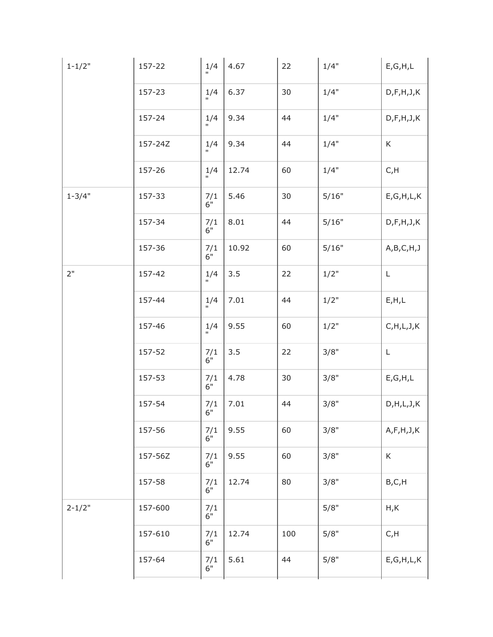| $1 - 1/2"$ | 157-22  | 1/4                       | 4.67  | 22  | 1/4"    | E, G, H, L    |
|------------|---------|---------------------------|-------|-----|---------|---------------|
|            | 157-23  | 1/4<br>$\mathbf{u}$       | 6.37  | 30  | 1/4"    | D, F, H, J, K |
|            | 157-24  | $\frac{1}{4}$             | 9.34  | 44  | 1/4"    | D, F, H, J, K |
|            | 157-24Z | 1/4<br>$\mathbf{u}$       | 9.34  | 44  | 1/4"    | K             |
|            | 157-26  | 1/4<br>Ĥ.                 | 12.74 | 60  | 1/4"    | C, H          |
| $1 - 3/4"$ | 157-33  | 7/1<br>$6^{\circ}$        | 5.46  | 30  | 5/16"   | E, G, H, L, K |
|            | 157-34  | 7/1<br>$6^{\prime\prime}$ | 8.01  | 44  | 5/16"   | D, F, H, J, K |
|            | 157-36  | $\frac{7}{1}$             | 10.92 | 60  | 5/16"   | A,B,C,H,J     |
| 2"         | 157-42  | 1/4                       | 3.5   | 22  | $1/2$ " | L             |
|            | 157-44  | 1/4<br>Ĥ.                 | 7.01  | 44  | 1/2"    | E, H, L       |
|            | 157-46  | $\frac{1}{4}$             | 9.55  | 60  | 1/2"    | C, H, L, J, K |
|            | 157-52  | 7/1<br>$6^{\circ}$        | 3.5   | 22  | 3/8"    | $\mathsf L$   |
|            | 157-53  | 7/1<br>$6^{\circ}$        | 4.78  | 30  | 3/8"    | E, G, H, L    |
|            | 157-54  | $\frac{7}{1}$             | 7.01  | 44  | 3/8"    | D, H, L, J, K |
|            | 157-56  | 7/1<br>$6^{\prime\prime}$ | 9.55  | 60  | 3/8"    | A, F, H, J, K |
|            | 157-56Z | 7/1<br>$6^{\circ}$        | 9.55  | 60  | 3/8"    | K             |
|            | 157-58  | 7/1<br>$6^{\circ}$        | 12.74 | 80  | 3/8"    | B, C, H       |
| $2 - 1/2"$ | 157-600 | 7/1<br>$6^{\circ}$        |       |     | 5/8"    | H,K           |
|            | 157-610 | 7/1<br>$6^{\circ}$        | 12.74 | 100 | 5/8"    | C, H          |
|            | 157-64  | 7/1<br>$6^{\prime\prime}$ | 5.61  | 44  | 5/8"    | E, G, H, L, K |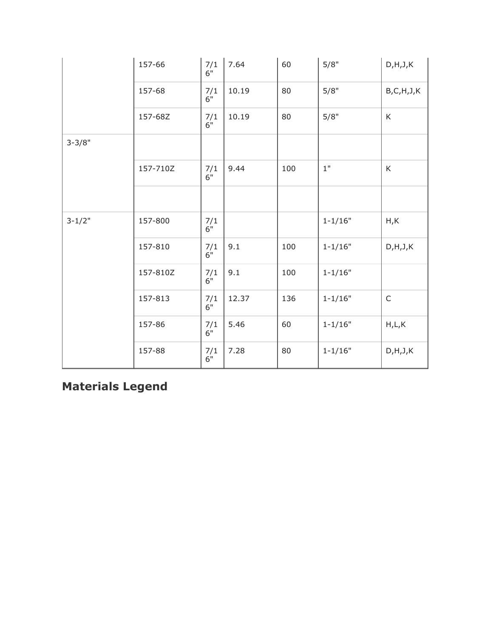|            | 157-66   | 7/1<br>$6^{\prime\prime}$ | 7.64  | 60  | 5/8"        | D, H, J, K    |
|------------|----------|---------------------------|-------|-----|-------------|---------------|
|            | 157-68   | 7/1<br>$6^{\circ}$        | 10.19 | 80  | 5/8"        | B, C, H, J, K |
|            | 157-68Z  | 7/1<br>$6^{\circ}$        | 10.19 | 80  | 5/8"        | K             |
| $3 - 3/8"$ |          |                           |       |     |             |               |
|            | 157-710Z | 7/1<br>$6^{\circ}$        | 9.44  | 100 | $1"$        | K             |
|            |          |                           |       |     |             |               |
| $3 - 1/2"$ | 157-800  | $\frac{7}{1}$             |       |     | $1 - 1/16"$ | H, K          |
|            | 157-810  | 7/1<br>$6^{\circ}$        | 9.1   | 100 | $1 - 1/16"$ | D, H, J, K    |
|            | 157-810Z | 7/1<br>$6^{\circ}$        | 9.1   | 100 | $1 - 1/16"$ |               |
|            | 157-813  | 7/1<br>$6"$               | 12.37 | 136 | $1 - 1/16"$ | $\mathsf{C}$  |
|            | 157-86   | 7/1<br>$6^{\circ}$        | 5.46  | 60  | $1 - 1/16"$ | H,L,K         |
|            | 157-88   | 7/1<br>$6^{\prime\prime}$ | 7.28  | 80  | $1 - 1/16"$ | D, H, J, K    |

## **Materials Legend**